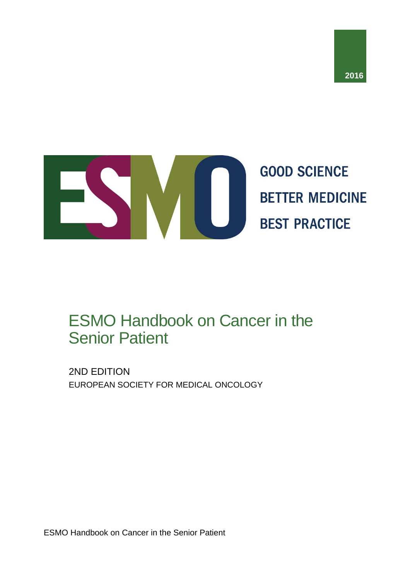



# ESMO Handbook on Cancer in the Senior Patient

2ND EDITION EUROPEAN SOCIETY FOR MEDICAL ONCOLOGY

ESMO Handbook on Cancer in the Senior Patient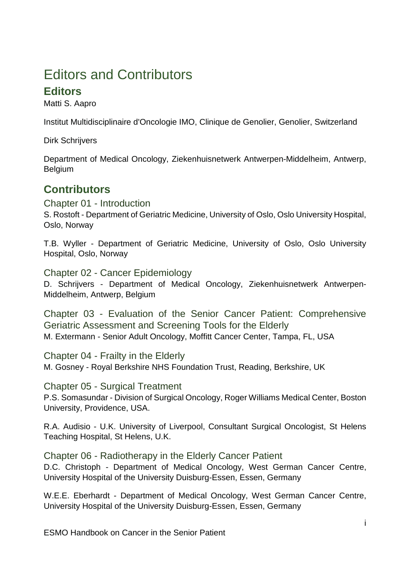## Editors and Contributors

### **Editors**

Matti S. Aapro

Institut Multidisciplinaire d'Oncologie IMO, Clinique de Genolier, Genolier, Switzerland

Dirk Schrijvers

Department of Medical Oncology, Ziekenhuisnetwerk Antwerpen-Middelheim, Antwerp, Belgium

### **Contributors**

Chapter 01 - Introduction S. Rostoft - Department of Geriatric Medicine, University of Oslo, Oslo University Hospital, Oslo, Norway

T.B. Wyller - Department of Geriatric Medicine, University of Oslo, Oslo University Hospital, Oslo, Norway

Chapter 02 - Cancer Epidemiology

D. Schrijvers - Department of Medical Oncology, Ziekenhuisnetwerk Antwerpen-Middelheim, Antwerp, Belgium

Chapter 03 - Evaluation of the Senior Cancer Patient: Comprehensive Geriatric Assessment and Screening Tools for the Elderly M. Extermann - Senior Adult Oncology, Moffitt Cancer Center, Tampa, FL, USA

Chapter 04 - Frailty in the Elderly M. Gosney - Royal Berkshire NHS Foundation Trust, Reading, Berkshire, UK

Chapter 05 - Surgical Treatment P.S. Somasundar - Division of Surgical Oncology, Roger Williams Medical Center, Boston University, Providence, USA.

R.A. Audisio - U.K. University of Liverpool, Consultant Surgical Oncologist, St Helens Teaching Hospital, St Helens, U.K.

Chapter 06 - Radiotherapy in the Elderly Cancer Patient D.C. Christoph - Department of Medical Oncology, West German Cancer Centre, University Hospital of the University Duisburg-Essen, Essen, Germany

W.E.E. Eberhardt - Department of Medical Oncology, West German Cancer Centre, University Hospital of the University Duisburg-Essen, Essen, Germany

ESMO Handbook on Cancer in the Senior Patient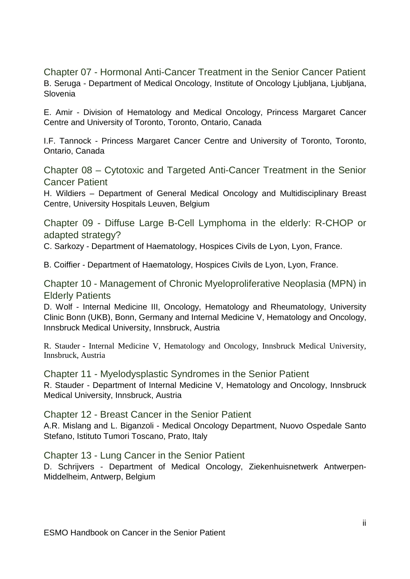Chapter 07 - Hormonal Anti-Cancer Treatment in the Senior Cancer Patient B. Seruga - Department of Medical Oncology, Institute of Oncology Ljubljana, Ljubljana, Slovenia

E. Amir - Division of Hematology and Medical Oncology, Princess Margaret Cancer Centre and University of Toronto, Toronto, Ontario, Canada

I.F. Tannock - Princess Margaret Cancer Centre and University of Toronto, Toronto, Ontario, Canada

Chapter 08 – Cytotoxic and Targeted Anti-Cancer Treatment in the Senior Cancer Patient

H. Wildiers – Department of General Medical Oncology and Multidisciplinary Breast Centre, University Hospitals Leuven, Belgium

Chapter 09 - Diffuse Large B-Cell Lymphoma in the elderly: R-CHOP or adapted strategy?

C. Sarkozy - Department of Haematology, Hospices Civils de Lyon, Lyon, France.

B. Coiffier - Department of Haematology, Hospices Civils de Lyon, Lyon, France.

Chapter 10 - Management of Chronic Myeloproliferative Neoplasia (MPN) in Elderly Patients

D. Wolf - Internal Medicine III, Oncology, Hematology and Rheumatology, University Clinic Bonn (UKB), Bonn, Germany and Internal Medicine V, Hematology and Oncology, Innsbruck Medical University, Innsbruck, Austria

R. Stauder - Internal Medicine V, Hematology and Oncology, Innsbruck Medical University, Innsbruck, Austria

Chapter 11 - Myelodysplastic Syndromes in the Senior Patient R. Stauder - Department of Internal Medicine V, Hematology and Oncology, Innsbruck Medical University, Innsbruck, Austria

Chapter 12 - Breast Cancer in the Senior Patient A.R. Mislang and L. Biganzoli - Medical Oncology Department, Nuovo Ospedale Santo Stefano, Istituto Tumori Toscano, Prato, Italy

Chapter 13 - Lung Cancer in the Senior Patient

D. Schrijvers - Department of Medical Oncology, Ziekenhuisnetwerk Antwerpen-Middelheim, Antwerp, Belgium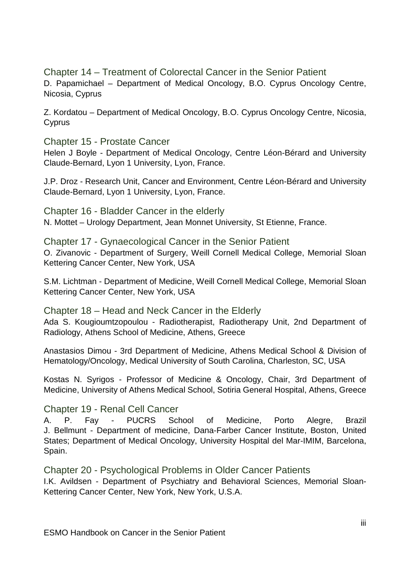Chapter 14 – Treatment of Colorectal Cancer in the Senior Patient D. Papamichael – Department of Medical Oncology, B.O. Cyprus Oncology Centre, Nicosia, Cyprus

Z. Kordatou – Department of Medical Oncology, B.O. Cyprus Oncology Centre, Nicosia, **Cyprus** 

Chapter 15 - Prostate Cancer

Helen J Boyle - Department of Medical Oncology, Centre Léon-Bérard and University Claude-Bernard, Lyon 1 University, Lyon, France.

J.P. Droz - Research Unit, Cancer and Environment, Centre Léon-Bérard and University Claude-Bernard, Lyon 1 University, Lyon, France.

Chapter 16 - Bladder Cancer in the elderly N. Mottet – Urology Department, Jean Monnet University, St Etienne, France.

Chapter 17 - Gynaecological Cancer in the Senior Patient O. Zivanovic - Department of Surgery, Weill Cornell Medical College, Memorial Sloan Kettering Cancer Center, New York, USA

S.M. Lichtman - Department of Medicine, Weill Cornell Medical College, Memorial Sloan Kettering Cancer Center, New York, USA

Chapter 18 – Head and Neck Cancer in the Elderly Ada S. Kougioumtzopoulou - Radiotherapist, Radiotherapy Unit, 2nd Department of Radiology, Athens School of Medicine, Athens, Greece

Anastasios Dimou - 3rd Department of Medicine, Athens Medical School & Division of Hematology/Oncology, Medical University of South Carolina, Charleston, SC, USA

Kostas N. Syrigos - Professor of Medicine & Oncology, Chair, 3rd Department of Medicine, University of Athens Medical School, Sotiria General Hospital, Athens, Greece

Chapter 19 - Renal Cell Cancer

A. P. Fay - PUCRS School of Medicine, Porto Alegre, Brazil J. Bellmunt - Department of medicine, Dana-Farber Cancer Institute, Boston, United States; Department of Medical Oncology, University Hospital del Mar-IMIM, Barcelona, Spain.

Chapter 20 - Psychological Problems in Older Cancer Patients I.K. Avildsen - Department of Psychiatry and Behavioral Sciences, Memorial Sloan-Kettering Cancer Center, New York, New York, U.S.A.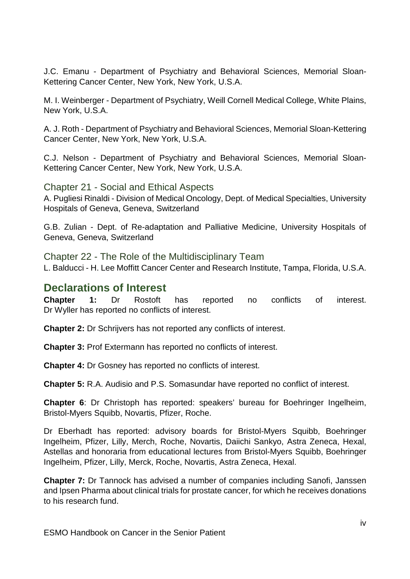J.C. Emanu - Department of Psychiatry and Behavioral Sciences, Memorial Sloan-Kettering Cancer Center, New York, New York, U.S.A.

M. I. Weinberger - Department of Psychiatry, Weill Cornell Medical College, White Plains, New York, U.S.A.

A. J. Roth - Department of Psychiatry and Behavioral Sciences, Memorial Sloan-Kettering Cancer Center, New York, New York, U.S.A.

C.J. Nelson - Department of Psychiatry and Behavioral Sciences, Memorial Sloan-Kettering Cancer Center, New York, New York, U.S.A.

Chapter 21 - Social and Ethical Aspects A. Pugliesi Rinaldi - Division of Medical Oncology, Dept. of Medical Specialties, University Hospitals of Geneva, Geneva, Switzerland

G.B. Zulian - Dept. of Re-adaptation and Palliative Medicine, University Hospitals of Geneva, Geneva, Switzerland

Chapter 22 - The Role of the Multidisciplinary Team L. Balducci - H. Lee Moffitt Cancer Center and Research Institute, Tampa, Florida, U.S.A.

#### **Declarations of Interest**

**Chapter 1:** Dr Rostoft has reported no conflicts of interest. Dr Wyller has reported no conflicts of interest.

**Chapter 2:** Dr Schrijvers has not reported any conflicts of interest.

**Chapter 3:** Prof Extermann has reported no conflicts of interest.

**Chapter 4:** Dr Gosney has reported no conflicts of interest.

**Chapter 5:** R.A. Audisio and P.S. Somasundar have reported no conflict of interest.

**Chapter 6**: Dr Christoph has reported: speakers' bureau for Boehringer Ingelheim, Bristol-Myers Squibb, Novartis, Pfizer, Roche.

Dr Eberhadt has reported: advisory boards for Bristol-Myers Squibb, Boehringer Ingelheim, Pfizer, Lilly, Merch, Roche, Novartis, Daiichi Sankyo, Astra Zeneca, Hexal, Astellas and honoraria from educational lectures from Bristol-Myers Squibb, Boehringer Ingelheim, Pfizer, Lilly, Merck, Roche, Novartis, Astra Zeneca, Hexal.

**Chapter 7:** Dr Tannock has advised a number of companies including Sanofi, Janssen and Ipsen Pharma about clinical trials for prostate cancer, for which he receives donations to his research fund.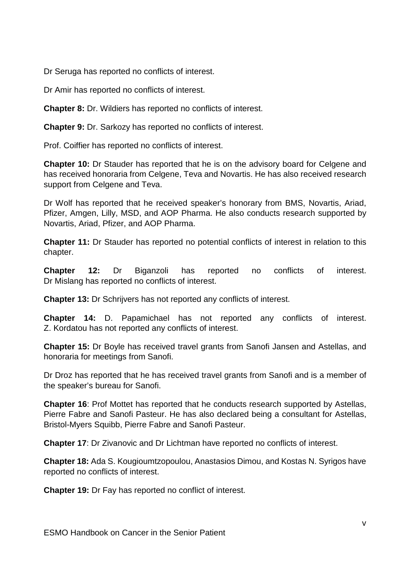Dr Seruga has reported no conflicts of interest.

Dr Amir has reported no conflicts of interest.

**Chapter 8:** Dr. Wildiers has reported no conflicts of interest.

**Chapter 9:** Dr. Sarkozy has reported no conflicts of interest.

Prof. Coiffier has reported no conflicts of interest.

**Chapter 10:** Dr Stauder has reported that he is on the advisory board for Celgene and has received honoraria from Celgene, Teva and Novartis. He has also received research support from Celgene and Teva.

Dr Wolf has reported that he received speaker's honorary from BMS, Novartis, Ariad, Pfizer, Amgen, Lilly, MSD, and AOP Pharma. He also conducts research supported by Novartis, Ariad, Pfizer, and AOP Pharma.

**Chapter 11:** Dr Stauder has reported no potential conflicts of interest in relation to this chapter.

**Chapter 12:** Dr Biganzoli has reported no conflicts of interest. Dr Mislang has reported no conflicts of interest.

**Chapter 13:** Dr Schrijvers has not reported any conflicts of interest.

**Chapter 14:** D. Papamichael has not reported any conflicts of interest. Z. Kordatou has not reported any conflicts of interest.

**Chapter 15:** Dr Boyle has received travel grants from Sanofi Jansen and Astellas, and honoraria for meetings from Sanofi.

Dr Droz has reported that he has received travel grants from Sanofi and is a member of the speaker's bureau for Sanofi.

**Chapter 16**: Prof Mottet has reported that he conducts research supported by Astellas, Pierre Fabre and Sanofi Pasteur. He has also declared being a consultant for Astellas, Bristol-Myers Squibb, Pierre Fabre and Sanofi Pasteur.

**Chapter 17**: Dr Zivanovic and Dr Lichtman have reported no conflicts of interest.

**Chapter 18:** Ada S. Kougioumtzopoulou, Anastasios Dimou, and Kostas N. Syrigos have reported no conflicts of interest.

**Chapter 19:** Dr Fay has reported no conflict of interest.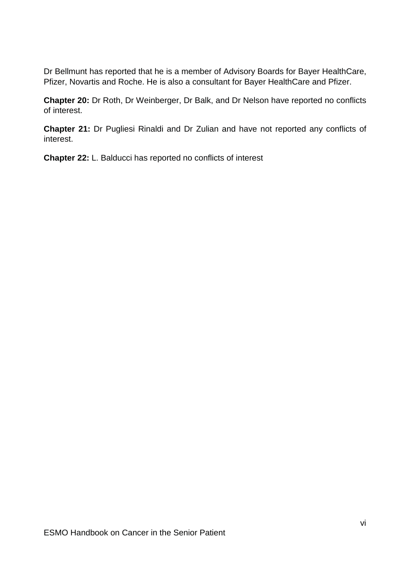Dr Bellmunt has reported that he is a member of Advisory Boards for Bayer HealthCare, Pfizer, Novartis and Roche. He is also a consultant for Bayer HealthCare and Pfizer.

**Chapter 20:** Dr Roth, Dr Weinberger, Dr Balk, and Dr Nelson have reported no conflicts of interest.

**Chapter 21:** Dr Pugliesi Rinaldi and Dr Zulian and have not reported any conflicts of interest.

**Chapter 22:** L. Balducci has reported no conflicts of interest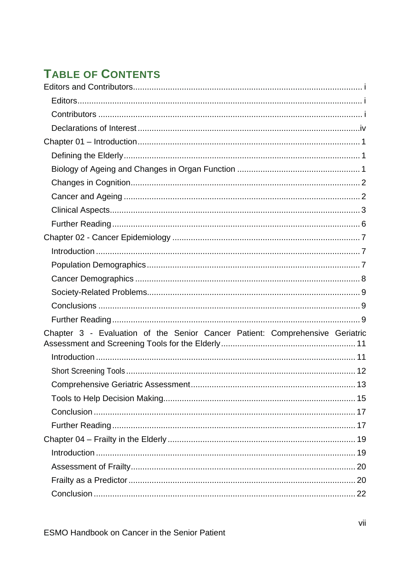## **TABLE OF CONTENTS**

| Chapter 3 - Evaluation of the Senior Cancer Patient: Comprehensive Geriatric |
|------------------------------------------------------------------------------|
|                                                                              |
|                                                                              |
|                                                                              |
|                                                                              |
|                                                                              |
|                                                                              |
|                                                                              |
|                                                                              |
|                                                                              |
|                                                                              |
|                                                                              |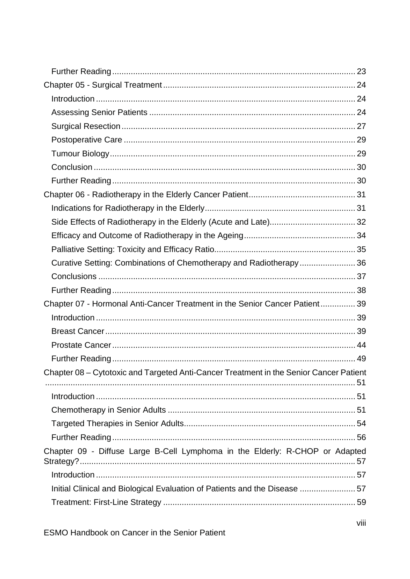| Curative Setting: Combinations of Chemotherapy and Radiotherapy 36                     |  |
|----------------------------------------------------------------------------------------|--|
|                                                                                        |  |
|                                                                                        |  |
| Chapter 07 - Hormonal Anti-Cancer Treatment in the Senior Cancer Patient 39            |  |
|                                                                                        |  |
|                                                                                        |  |
|                                                                                        |  |
|                                                                                        |  |
| Chapter 08 - Cytotoxic and Targeted Anti-Cancer Treatment in the Senior Cancer Patient |  |
|                                                                                        |  |
|                                                                                        |  |
|                                                                                        |  |
|                                                                                        |  |
| Chapter 09 - Diffuse Large B-Cell Lymphoma in the Elderly: R-CHOP or Adapted           |  |
|                                                                                        |  |
| Initial Clinical and Biological Evaluation of Patients and the Disease 57              |  |
|                                                                                        |  |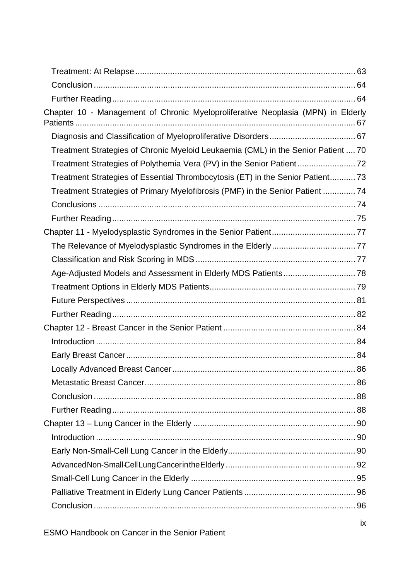| Chapter 10 - Management of Chronic Myeloproliferative Neoplasia (MPN) in Elderly  |  |
|-----------------------------------------------------------------------------------|--|
|                                                                                   |  |
| Treatment Strategies of Chronic Myeloid Leukaemia (CML) in the Senior Patient  70 |  |
| Treatment Strategies of Polythemia Vera (PV) in the Senior Patient72              |  |
| Treatment Strategies of Essential Thrombocytosis (ET) in the Senior Patient 73    |  |
| Treatment Strategies of Primary Myelofibrosis (PMF) in the Senior Patient  74     |  |
|                                                                                   |  |
|                                                                                   |  |
|                                                                                   |  |
|                                                                                   |  |
|                                                                                   |  |
|                                                                                   |  |
|                                                                                   |  |
|                                                                                   |  |
|                                                                                   |  |
|                                                                                   |  |
|                                                                                   |  |
|                                                                                   |  |
|                                                                                   |  |
|                                                                                   |  |
|                                                                                   |  |
|                                                                                   |  |
|                                                                                   |  |
|                                                                                   |  |
|                                                                                   |  |
|                                                                                   |  |
|                                                                                   |  |
|                                                                                   |  |
|                                                                                   |  |
|                                                                                   |  |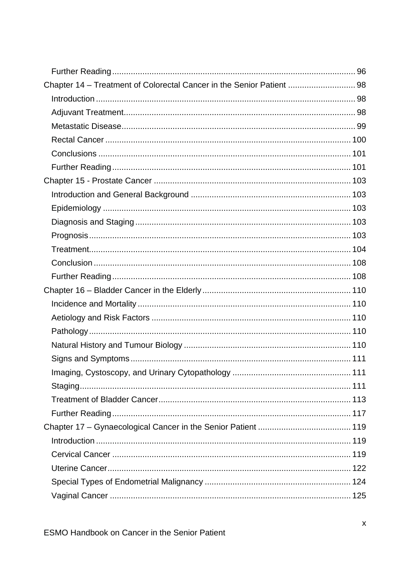| Chapter 14 - Treatment of Colorectal Cancer in the Senior Patient  98 |  |
|-----------------------------------------------------------------------|--|
|                                                                       |  |
|                                                                       |  |
|                                                                       |  |
|                                                                       |  |
|                                                                       |  |
|                                                                       |  |
|                                                                       |  |
|                                                                       |  |
|                                                                       |  |
|                                                                       |  |
|                                                                       |  |
|                                                                       |  |
|                                                                       |  |
|                                                                       |  |
|                                                                       |  |
|                                                                       |  |
|                                                                       |  |
|                                                                       |  |
|                                                                       |  |
|                                                                       |  |
|                                                                       |  |
|                                                                       |  |
|                                                                       |  |
|                                                                       |  |
|                                                                       |  |
|                                                                       |  |
|                                                                       |  |
|                                                                       |  |
|                                                                       |  |
|                                                                       |  |